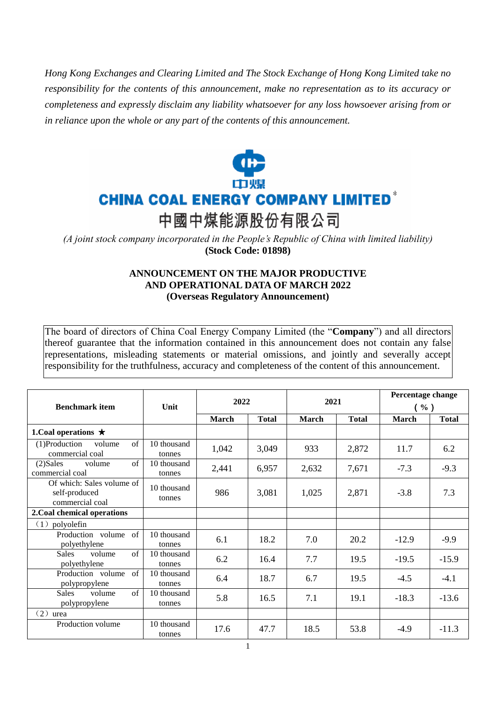*Hong Kong Exchanges and Clearing Limited and The Stock Exchange of Hong Kong Limited take no responsibility for the contents of this announcement, make no representation as to its accuracy or completeness and expressly disclaim any liability whatsoever for any loss howsoever arising from or in reliance upon the whole or any part of the contents of this announcement.*



*(A joint stock company incorporated in the People's Republic of China with limited liability)*  **(Stock Code: 01898)**

## **ANNOUNCEMENT ON THE MAJOR PRODUCTIVE AND OPERATIONAL DATA OF MARCH 2022 (Overseas Regulatory Announcement)**

The board of directors of China Coal Energy Company Limited (the "**Company**") and all directors thereof guarantee that the information contained in this announcement does not contain any false representations, misleading statements or material omissions, and jointly and severally accept responsibility for the truthfulness, accuracy and completeness of the content of this announcement.

|                                                               | Unit                  | 2022         |              | 2021         |              | Percentage change |              |
|---------------------------------------------------------------|-----------------------|--------------|--------------|--------------|--------------|-------------------|--------------|
| <b>Benchmark item</b>                                         |                       |              |              |              |              | $(\%)$            |              |
|                                                               |                       | <b>March</b> | <b>Total</b> | <b>March</b> | <b>Total</b> | March             | <b>Total</b> |
| 1. Coal operations $\star$                                    |                       |              |              |              |              |                   |              |
| (1)Production<br>$\sigma$ f<br>volume<br>commercial coal      | 10 thousand<br>tonnes | 1,042        | 3,049        | 933          | 2,872        | 11.7              | 6.2          |
| $\sigma$ f<br>$(2)$ Sales<br>volume<br>commercial coal        | 10 thousand<br>tonnes | 2,441        | 6,957        | 2,632        | 7,671        | $-7.3$            | $-9.3$       |
| Of which: Sales volume of<br>self-produced<br>commercial coal | 10 thousand<br>tonnes | 986          | 3,081        | 1,025        | 2,871        | $-3.8$            | 7.3          |
| 2. Coal chemical operations                                   |                       |              |              |              |              |                   |              |
| polyolefin<br>(1)                                             |                       |              |              |              |              |                   |              |
| Production volume<br>of<br>polyethylene                       | 10 thousand<br>tonnes | 6.1          | 18.2         | 7.0          | 20.2         | $-12.9$           | $-9.9$       |
| $\sigma$ f<br><b>Sales</b><br>volume<br>polyethylene          | 10 thousand<br>tonnes | 6.2          | 16.4         | 7.7          | 19.5         | $-19.5$           | $-15.9$      |
| $\alpha$ f<br>Production volume<br>polypropylene              | 10 thousand<br>tonnes | 6.4          | 18.7         | 6.7          | 19.5         | $-4.5$            | $-4.1$       |
| $\sigma$ f<br><b>Sales</b><br>volume<br>polypropylene         | 10 thousand<br>tonnes | 5.8          | 16.5         | 7.1          | 19.1         | $-18.3$           | $-13.6$      |
| (2)<br>urea                                                   |                       |              |              |              |              |                   |              |
| Production volume                                             | 10 thousand<br>tonnes | 17.6         | 47.7         | 18.5         | 53.8         | $-4.9$            | $-11.3$      |